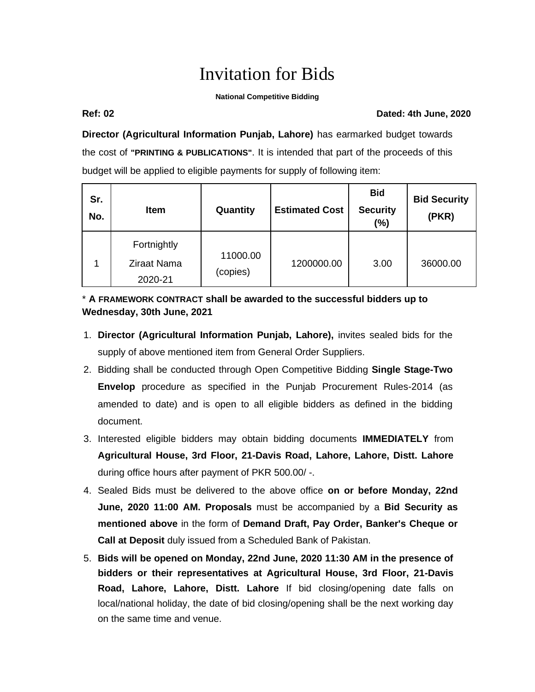# Invitation for Bids

### **National Competitive Bidding**

### **Ref: 02 Dated: 4th June, 2020**

**Director (Agricultural Information Punjab, Lahore)** has earmarked budget towards the cost of **"PRINTING & PUBLICATIONS"**. It is intended that part of the proceeds of this budget will be applied to eligible payments for supply of following item:

| Sr.<br>No. | Item                                         | Quantity             | <b>Estimated Cost</b> | <b>Bid</b><br><b>Security</b><br>(%) | <b>Bid Security</b><br>(PKR) |
|------------|----------------------------------------------|----------------------|-----------------------|--------------------------------------|------------------------------|
|            | Fortnightly<br><b>Ziraat Nama</b><br>2020-21 | 11000.00<br>(copies) | 1200000.00            | 3.00                                 | 36000.00                     |

## \* **A FRAMEWORK CONTRACT shall be awarded to the successful bidders up to Wednesday, 30th June, 2021**

- 1. **Director (Agricultural Information Punjab, Lahore),** invites sealed bids for the supply of above mentioned item from General Order Suppliers.
- 2. Bidding shall be conducted through Open Competitive Bidding **Single Stage-Two Envelop** procedure as specified in the Punjab Procurement Rules-2014 (as amended to date) and is open to all eligible bidders as defined in the bidding document.
- 3. Interested eligible bidders may obtain bidding documents **IMMEDIATELY** from **Agricultural House, 3rd Floor, 21-Davis Road, Lahore, Lahore, Distt. Lahore** during office hours after payment of PKR 500.00/ -.
- 4. Sealed Bids must be delivered to the above office **on or before Monday, 22nd June, 2020 11:00 AM. Proposals** must be accompanied by a **Bid Security as mentioned above** in the form of **Demand Draft, Pay Order, Banker's Cheque or Call at Deposit** duly issued from a Scheduled Bank of Pakistan.
- 5. **Bids will be opened on Monday, 22nd June, 2020 11:30 AM in the presence of bidders or their representatives at Agricultural House, 3rd Floor, 21-Davis Road, Lahore, Lahore, Distt. Lahore** If bid closing/opening date falls on local/national holiday, the date of bid closing/opening shall be the next working day on the same time and venue.